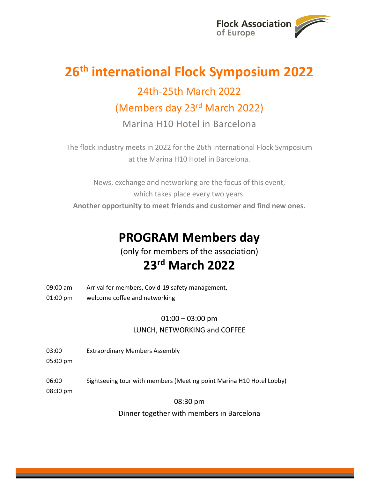

## 26<sup>th</sup> international Flock Symposium 2022 24th-25th March 2022 (Members day 23rd March 2022)

Marina H10 Hotel in Barcelona

The flock industry meets in 2022 for the 26th international Flock Symposium at the Marina H10 Hotel in Barcelona.

News, exchange and networking are the focus of this event, which takes place every two years. Another opportunity to meet friends and customer and find new ones.

## PROGRAM Members day

(only for members of the association)

### 23rd March 2022

- 09:00 am Arrival for members, Covid-19 safety management,
- 01:00 pm welcome coffee and networking

### $01:00 - 03:00$  pm LUNCH, NETWORKING and COFFEE

- 03:00 Extraordinary Members Assembly
- 05:00 pm
- 06:00 Sightseeing tour with members (Meeting point Marina H10 Hotel Lobby)
- 08:30 pm

08:30 pm

Dinner together with members in Barcelona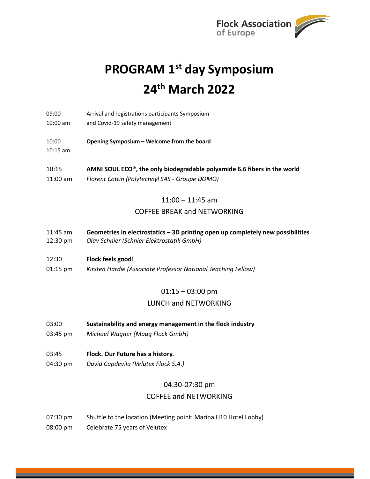

# PROGRAM 1<sup>st</sup> day Symposium 24th March 2022

- 09:00 Arrival and registrations participants Symposium
- 10:00 am and Covid-19 safety management
- 10:00 Opening Symposium Welcome from the board
- 10:15 am
- 10:15 AMNI SOUL ECO®, the only biodegradable polyamide 6.6 fibers in the world 11:00 am Florent Cottin (Polytechnyl SAS - Groupe DOMO)

#### $11:00 - 11:45$  am

#### COFFEE BREAK and NETWORKING

- 11:45 am Geometries in electrostatics 3D printing open up completely new possibilities 12:30 pm Olav Schnier (Schnier Elektrostatik GmbH)
- 

#### 12:30 Flock feels good!

01:15 pm Kirsten Hardie (Associate Professor National Teaching Fellow)

#### 01:15 – 03:00 pm

#### LUNCH and NETWORKING

- 03:00 Sustainability and energy management in the flock industry
- 03:45 pm Michael Wagner (Maag Flock GmbH)
- 03:45 Flock. Our Future has a history.
- 04:30 pm David Capdevila (Velutex Flock S.A.)

#### 04:30-07:30 pm

#### COFFEE and NETWORKING

07:30 pm Shuttle to the location (Meeting point: Marina H10 Hotel Lobby) 08:00 pm Celebrate 75 years of Velutex